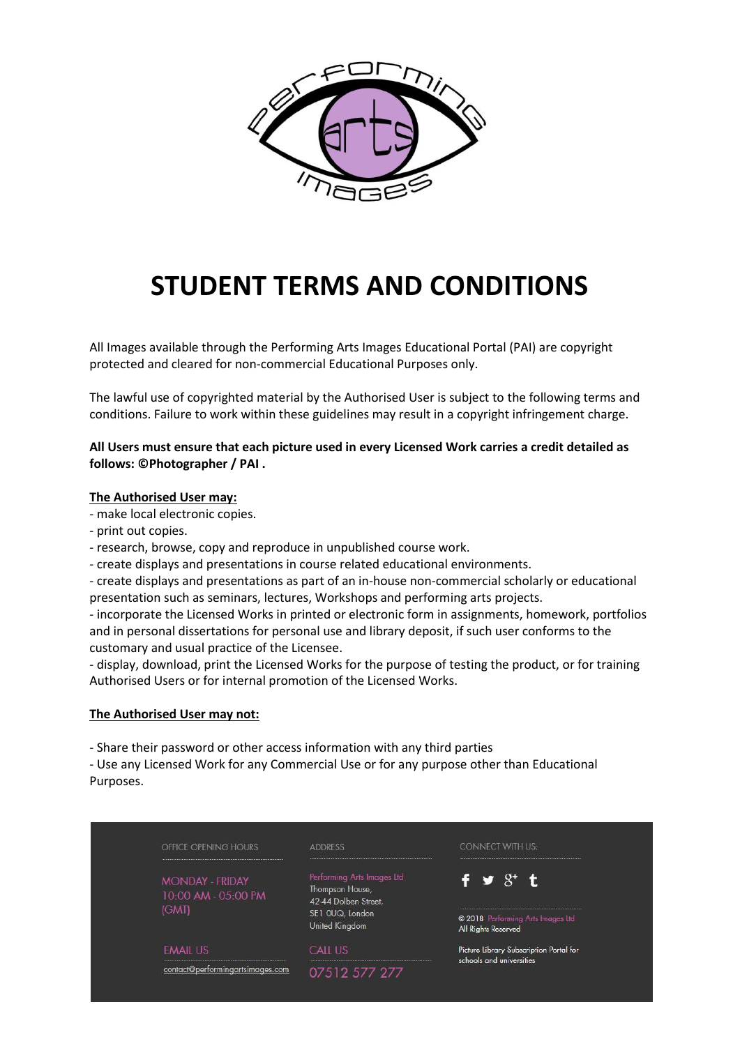

# **STUDENT TERMS AND CONDITIONS**

All Images available through the Performing Arts Images Educational Portal (PAI) are copyright protected and cleared for non-commercial Educational Purposes only.

The lawful use of copyrighted material by the Authorised User is subject to the following terms and conditions. Failure to work within these guidelines may result in a copyright infringement charge.

## **All Users must ensure that each picture used in every Licensed Work carries a credit detailed as follows: ©Photographer / PAI .**

#### **The Authorised User may:**

- make local electronic copies.

- print out copies.
- research, browse, copy and reproduce in unpublished course work.
- create displays and presentations in course related educational environments.

- create displays and presentations as part of an in-house non-commercial scholarly or educational presentation such as seminars, lectures, Workshops and performing arts projects.

- incorporate the Licensed Works in printed or electronic form in assignments, homework, portfolios and in personal dissertations for personal use and library deposit, if such user conforms to the customary and usual practice of the Licensee.

- display, download, print the Licensed Works for the purpose of testing the product, or for training Authorised Users or for internal promotion of the Licensed Works.

#### **The Authorised User may not:**

- Share their password or other access information with any third parties

- Use any Licensed Work for any Commercial Use or for any purpose other than Educational Purposes.

| OFFICE OPENING HOURS                                   | <b>ADDRESS</b>                                                                                             | <b>CONNECT WITH US:</b>                                                   |
|--------------------------------------------------------|------------------------------------------------------------------------------------------------------------|---------------------------------------------------------------------------|
| <b>MONDAY - FRIDAY</b><br>10:00 AM - 05:00 PM<br>(GMT) | Performing Arts Images Ltd<br>Thompson House,<br>42-44 Dolben Street,<br>SE1 OUQ, London<br>United Kingdom | $f \times S'$ t<br>2018 Performing Arts Images Ltd<br>All Rights Reserved |
| <b>EMAIL US</b>                                        | <b>CALL US</b>                                                                                             | Picture Library Subscription Portal for<br>schools and universities       |
| contact@performingartsimages.com                       | 07512 577 277                                                                                              |                                                                           |